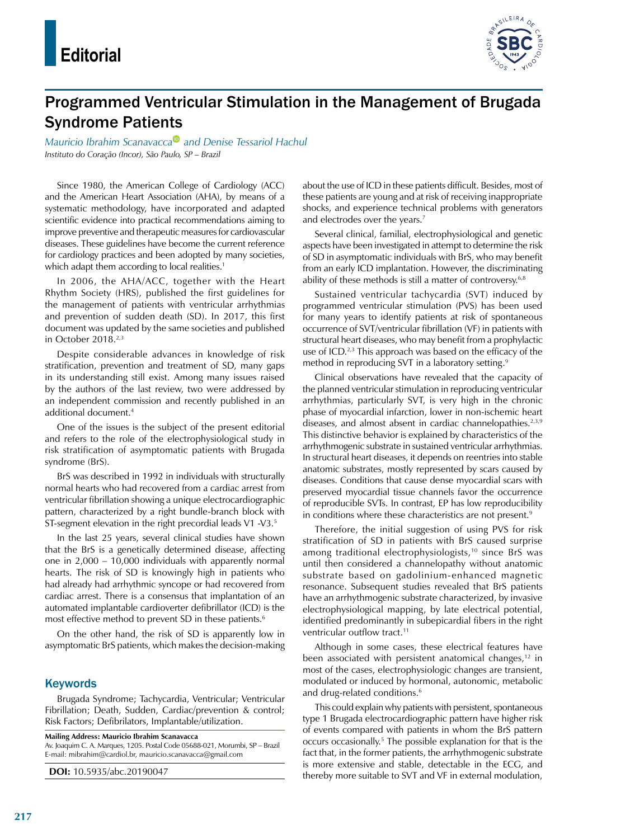

## Programmed Ventricular Stimulation in the Management of Brugada Syndrome Patients

*Mauricio Ibrahim Scanavacc[a](https://orcid.org/0000-0001-7327-2275) and Denise Tessariol Hachul Instituto do Coração (Incor), São Paulo, SP – Brazil*

Since 1980, the American College of Cardiology (ACC) and the American Heart Association (AHA), by means of a systematic methodology, have incorporated and adapted scientific evidence into practical recommendations aiming to improve preventive and therapeutic measures for cardiovascular diseases. These guidelines have become the current reference for cardiology practices and been adopted by many societies, which adapt them according to local realities.<sup>1</sup>

In 2006, the AHA/ACC, together with the Heart Rhythm Society (HRS), published the first guidelines for the management of patients with ventricular arrhythmias and prevention of sudden death (SD). In 2017, this first document was updated by the same societies and published in October 2018.<sup>2,3</sup>

Despite considerable advances in knowledge of risk stratification, prevention and treatment of SD, many gaps in its understanding still exist. Among many issues raised by the authors of the last review, two were addressed by an independent commission and recently published in an additional document.4

One of the issues is the subject of the present editorial and refers to the role of the electrophysiological study in risk stratification of asymptomatic patients with Brugada syndrome (BrS).

BrS was described in 1992 in individuals with structurally normal hearts who had recovered from a cardiac arrest from ventricular fibrillation showing a unique electrocardiographic pattern, characterized by a right bundle-branch block with ST-segment elevation in the right precordial leads V1 -V3.5

In the last 25 years, several clinical studies have shown that the BrS is a genetically determined disease, affecting one in 2,000 – 10,000 individuals with apparently normal hearts. The risk of SD is knowingly high in patients who had already had arrhythmic syncope or had recovered from cardiac arrest. There is a consensus that implantation of an automated implantable cardioverter defibrillator (ICD) is the most effective method to prevent SD in these patients.<sup>6</sup>

On the other hand, the risk of SD is apparently low in asymptomatic BrS patients, which makes the decision-making

## **Keywords**

Brugada Syndrome; Tachycardia, Ventricular; Ventricular Fibrillation; Death, Sudden, Cardiac/prevention & control; Risk Factors; Defibrilators, Implantable/utilization.

**Mailing Address: Mauricio Ibrahim Scanavacca**

Av. Joaquim C. A. Marques, 1205. Postal Code 05688-021, Morumbi, SP – Brazil E-mail: [mibrahim@cardiol.br,](mailto:mibrahim@cardiol.br) [mauricio.scanavacca@gmail.com](mailto:mauricio.scanavacca@gmail.com)

**DOI:** 10.5935/abc.20190047

about the use of ICD in these patients difficult. Besides, most of these patients are young and at risk of receiving inappropriate shocks, and experience technical problems with generators and electrodes over the years.<sup>7</sup>

Several clinical, familial, electrophysiological and genetic aspects have been investigated in attempt to determine the risk of SD in asymptomatic individuals with BrS, who may benefit from an early ICD implantation. However, the discriminating ability of these methods is still a matter of controversy.<sup>6,8</sup>

Sustained ventricular tachycardia (SVT) induced by programmed ventricular stimulation (PVS) has been used for many years to identify patients at risk of spontaneous occurrence of SVT/ventricular fibrillation (VF) in patients with structural heart diseases, who may benefit from a prophylactic use of ICD.<sup>2,3</sup> This approach was based on the efficacy of the method in reproducing SVT in a laboratory setting.<sup>9</sup>

Clinical observations have revealed that the capacity of the planned ventricular stimulation in reproducing ventricular arrhythmias, particularly SVT, is very high in the chronic phase of myocardial infarction, lower in non-ischemic heart diseases, and almost absent in cardiac channelopathies.<sup>2,3,9</sup> This distinctive behavior is explained by characteristics of the arrhythmogenic substrate in sustained ventricular arrhythmias. In structural heart diseases, it depends on reentries into stable anatomic substrates, mostly represented by scars caused by diseases. Conditions that cause dense myocardial scars with preserved myocardial tissue channels favor the occurrence of reproducible SVTs. In contrast, EP has low reproducibility in conditions where these characteristics are not present.<sup>9</sup>

Therefore, the initial suggestion of using PVS for risk stratification of SD in patients with BrS caused surprise among traditional electrophysiologists,<sup>10</sup> since BrS was until then considered a channelopathy without anatomic substrate based on gadolinium-enhanced magnetic resonance. Subsequent studies revealed that BrS patients have an arrhythmogenic substrate characterized, by invasive electrophysiological mapping, by late electrical potential, identified predominantly in subepicardial fibers in the right ventricular outflow tract.<sup>11</sup>

Although in some cases, these electrical features have been associated with persistent anatomical changes,<sup>12</sup> in most of the cases, electrophysiologic changes are transient, modulated or induced by hormonal, autonomic, metabolic and drug-related conditions.<sup>6</sup>

This could explain why patients with persistent, spontaneous type 1 Brugada electrocardiographic pattern have higher risk of events compared with patients in whom the BrS pattern occurs occasionally.5 The possible explanation for that is the fact that, in the former patients, the arrhythmogenic substrate is more extensive and stable, detectable in the ECG, and thereby more suitable to SVT and VF in external modulation,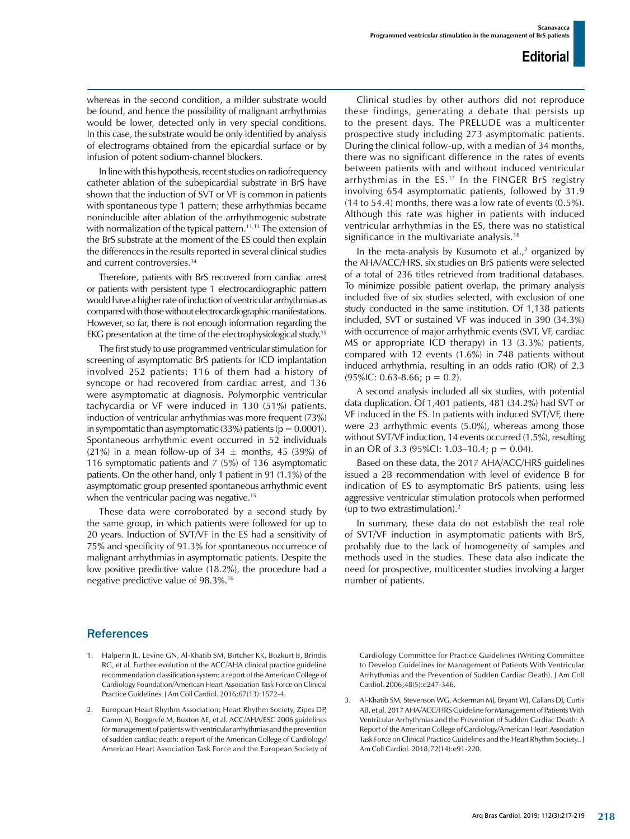whereas in the second condition, a milder substrate would be found, and hence the possibility of malignant arrhythmias would be lower, detected only in very special conditions. In this case, the substrate would be only identified by analysis of electrograms obtained from the epicardial surface or by infusion of potent sodium-channel blockers.

In line with this hypothesis, recent studies on radiofrequency catheter ablation of the subepicardial substrate in BrS have shown that the induction of SVT or VF is common in patients with spontaneous type 1 pattern; these arrhythmias became noninducible after ablation of the arrhythmogenic substrate with normalization of the typical pattern.<sup>11,13</sup> The extension of the BrS substrate at the moment of the ES could then explain the differences in the results reported in several clinical studies and current controversies.14

Therefore, patients with BrS recovered from cardiac arrest or patients with persistent type 1 electrocardiographic pattern would have a higher rate of induction of ventricular arrhythmias as compared with those without electrocardiographic manifestations. However, so far, there is not enough information regarding the EKG presentation at the time of the electrophysiological study.15

The first study to use programmed ventricular stimulation for screening of asymptomatic BrS patients for ICD implantation involved 252 patients; 116 of them had a history of syncope or had recovered from cardiac arrest, and 136 were asymptomatic at diagnosis. Polymorphic ventricular tachycardia or VF were induced in 130 (51%) patients. induction of ventricular arrhythmias was more frequent (73%) in sympomtatic than asymptomatic (33%) patients ( $p = 0.0001$ ). Spontaneous arrhythmic event occurred in 52 individuals (21%) in a mean follow-up of 34  $\pm$  months, 45 (39%) of 116 symptomatic patients and 7 (5%) of 136 asymptomatic patients. On the other hand, only 1 patient in 91 (1.1%) of the asymptomatic group presented spontaneous arrhythmic event when the ventricular pacing was negative.<sup>15</sup>

These data were corroborated by a second study by the same group, in which patients were followed for up to 20 years. Induction of SVT/VF in the ES had a sensitivity of 75% and specificity of 91.3% for spontaneous occurrence of malignant arrhythmias in asymptomatic patients. Despite the low positive predictive value (18.2%), the procedure had a negative predictive value of 98.3%.16

Clinical studies by other authors did not reproduce these findings, generating a debate that persists up to the present days. The PRELUDE was a multicenter prospective study including 273 asymptomatic patients. During the clinical follow-up, with a median of 34 months, there was no significant difference in the rates of events between patients with and without induced ventricular arrhythmias in the ES.17 In the FINGER BrS registry involving 654 asymptomatic patients, followed by 31.9 (14 to 54.4) months, there was a low rate of events (0.5%). Although this rate was higher in patients with induced ventricular arrhythmias in the ES, there was no statistical significance in the multivariate analysis.<sup>18</sup>

In the meta-analysis by Kusumoto et al., $<sup>2</sup>$  organized by</sup> the AHA/ACC/HRS, six studies on BrS patients were selected of a total of 236 titles retrieved from traditional databases. To minimize possible patient overlap, the primary analysis included five of six studies selected, with exclusion of one study conducted in the same institution. Of 1,138 patients included, SVT or sustained VF was induced in 390 (34.3%) with occurrence of major arrhythmic events (SVT, VF, cardiac MS or appropriate ICD therapy) in 13 (3.3%) patients, compared with 12 events (1.6%) in 748 patients without induced arrhythmia, resulting in an odds ratio (OR) of 2.3  $(95\%$ IC: 0.63-8.66; p = 0.2).

A second analysis included all six studies, with potential data duplication. Of 1,401 patients, 481 (34.2%) had SVT or VF induced in the ES. In patients with induced SVT/VF, there were 23 arrhythmic events (5.0%), whereas among those without SVT/VF induction, 14 events occurred (1.5%), resulting in an OR of 3.3 (95%Cl: 1.03–10.4;  $p = 0.04$ ).

Based on these data, the 2017 AHA/ACC/HRS guidelines issued a 2B recommendation with level of evidence B for indication of ES to asymptomatic BrS patients, using less aggressive ventricular stimulation protocols when performed (up to two extrastimulation). $<sup>2</sup>$ </sup>

In summary, these data do not establish the real role of SVT/VF induction in asymptomatic patients with BrS, probably due to the lack of homogeneity of samples and methods used in the studies. These data also indicate the need for prospective, multicenter studies involving a larger number of patients.

## References

- 1. Halperin JL, Levine GN, Al-Khatib SM, Birtcher KK, Bozkurt B, Brindis RG, et al. Further evolution of the ACC/AHA clinical practice guideline recommendation classification system: a report of the American College of Cardiology Foundation/American Heart Association Task Force on Clinical Practice Guidelines. J Am Coll Cardiol. 2016;67(13):1572-4.
- 2. European Heart Rhythm Association; Heart Rhythm Society, Zipes DP, Camm AJ, Borggrefe M, Buxton AE, et al. ACC/AHA/ESC 2006 guidelines for management of patients with ventricular arrhythmias and the prevention of sudden cardiac death: a report of the American College of Cardiology/ American Heart Association Task Force and the European Society of

Cardiology Committee for Practice Guidelines (Writing Committee to Develop Guidelines for Management of Patients With Ventricular Arrhythmias and the Prevention of Sudden Cardiac Death). J Am Coll Cardiol. 2006;48(5):e247-346.

3. Al-Khatib SM, Stevenson WG, Ackerman MJ, Bryant WJ, Callans DJ, Curtis AB, et al. 2017 AHA/ACC/HRS Guideline for Management of Patients With Ventricular Arrhythmias and the Prevention of Sudden Cardiac Death: A Report of the American College of Cardiology/American Heart Association Task Force on Clinical Practice Guidelines and the Heart Rhythm Society.. J Am Coll Cardiol. 2018;72(14):e91-220.